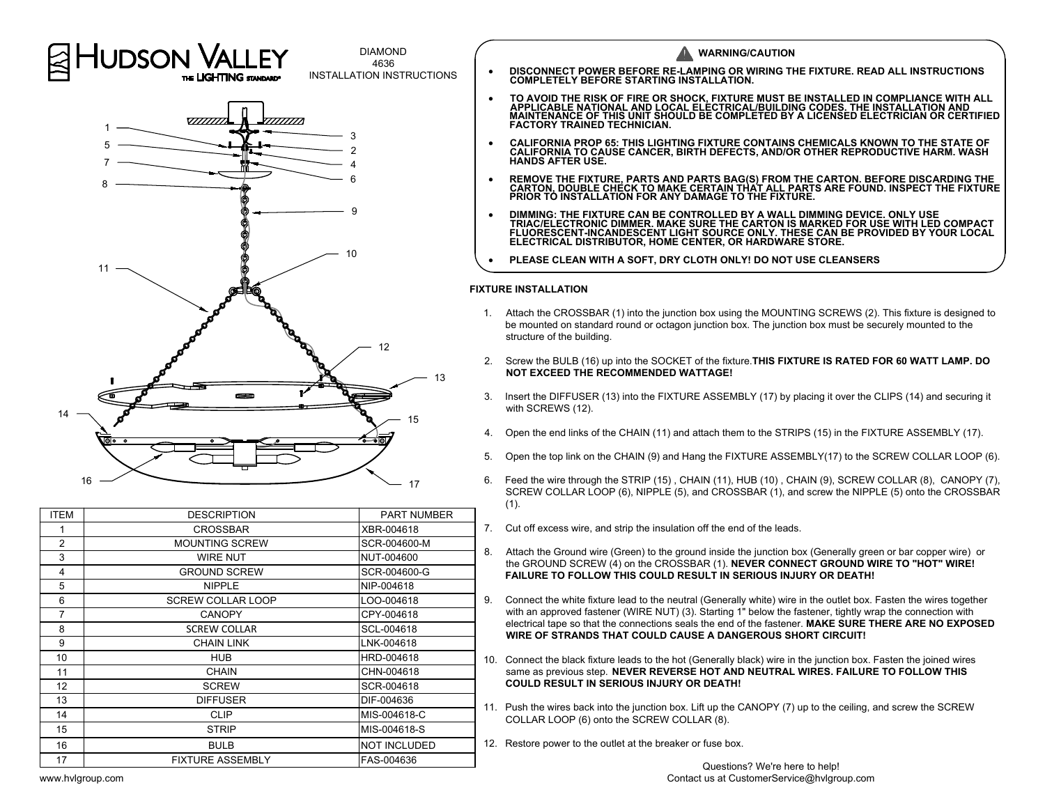



| <b>ITEM</b>    | <b>DESCRIPTION</b>       | <b>PART NUMBER</b>  |  |
|----------------|--------------------------|---------------------|--|
|                | CROSSBAR                 | XBR-004618          |  |
| $\overline{2}$ | <b>MOUNTING SCREW</b>    | SCR-004600-M        |  |
| 3              | <b>WIRE NUT</b>          | NUT-004600          |  |
| 4              | <b>GROUND SCREW</b>      | SCR-004600-G        |  |
| 5              | <b>NIPPLE</b>            | NIP-004618          |  |
| 6              | <b>SCREW COLLAR LOOP</b> | LOO-004618          |  |
| 7              | <b>CANOPY</b>            | CPY-004618          |  |
| 8              | <b>SCREW COLLAR</b>      | SCL-004618          |  |
| 9              | <b>CHAIN LINK</b>        | LNK-004618          |  |
| 10             | <b>HUB</b>               | HRD-004618          |  |
| 11             | <b>CHAIN</b>             | CHN-004618          |  |
| 12             | <b>SCREW</b>             | SCR-004618          |  |
| 13             | <b>DIFFUSER</b>          | DIF-004636          |  |
| 14             | <b>CLIP</b>              | MIS-004618-C        |  |
| 15             | <b>STRIP</b>             | MIS-004618-S        |  |
| 16             | <b>BULB</b>              | <b>NOT INCLUDED</b> |  |
| 17             | <b>FIXTURE ASSEMBLY</b>  | FAS-004636          |  |
|                |                          |                     |  |

| <b>JDSON VALLEY</b>                | <b>DIAMOND</b>                           | <b>WARNING/CAUTION</b>                                                                                                                                                                                                                                                                                      |  |
|------------------------------------|------------------------------------------|-------------------------------------------------------------------------------------------------------------------------------------------------------------------------------------------------------------------------------------------------------------------------------------------------------------|--|
| THE LIGHTING STANDARD*             | 4636<br><b>INSTALLATION INSTRUCTIONS</b> | DISCONNECT POWER BEFORE RE-LAMPING OR WIRING THE FIXTURE. READ ALL INSTRUCTIONS<br><b>COMPLETELY BEFORE STARTING INSTALLATION.</b>                                                                                                                                                                          |  |
| <i><u>VIIIIIII</u></i><br>77777777 |                                          | TO AVOID THE RISK OF FIRE OR SHOCK, FIXTURE MUST BE INSTALLED IN COMPLIANCE WITH ALL<br>APPLICABLE NATIONAL AND LOCAL ELECTRICAL/BUILDING CODES. THE INSTALLATION AND<br>MAINTENANCE OF THIS UNIT SHOULD BE COMPLETED BY A LICENSED ELECTRICIAN OR CERTIFIED<br><b>FACTORY TRAINED TECHNICIAN.</b>          |  |
|                                    |                                          | <b>CALIFORNIA PROP 65: THIS LIGHTING FIXTURE CONTAINS CHEMICALS KNOWN TO THE STATE OF</b><br>CALIFORNIA TO CAUSE CANCER, BIRTH DEFECTS, AND/OR OTHER REPRODUCTIVE HARM. WASH<br><b>HANDS AFTER USE.</b>                                                                                                     |  |
|                                    |                                          | REMOVE THE FIXTURE, PARTS AND PARTS BAG(S) FROM THE CARTON. BEFORE DISCARDING THE CARTON, DOUBLE CHECK TO MAKE CERTAIN THAT ALL PARTS ARE FOUND. INSPECT THE FIXTURE<br><b>PRIOR TÓ INSTALLATION FOR ANY DAMAGE TO THE FIXTURE.</b>                                                                         |  |
|                                    |                                          | DIMMING: THE FIXTURE CAN BE CONTROLLED BY A WALL DIMMING DEVICE. ONLY USE<br>TRIAC/ELECTRONIC DIMMER. MAKE SURE THE CARTON IS MARKED FOR USE WITH LED COMPACT<br>FLUORESCENT-INCANDESCENT LIGHT SOURCE ONLY. THESE CAN BE PROVIDED BY YOUR LOCAL<br>ELECTRICAL DISTRIBUTOR, HOME CENTER, OR HARDWARE STORE. |  |
|                                    |                                          | PLEASE CLEAN WITH A SOFT, DRY CLOTH ONLY! DO NOT USE CLEANSERS                                                                                                                                                                                                                                              |  |

- 
- 
- 
- 
- 
- -
	-
	-
- 
- 
-